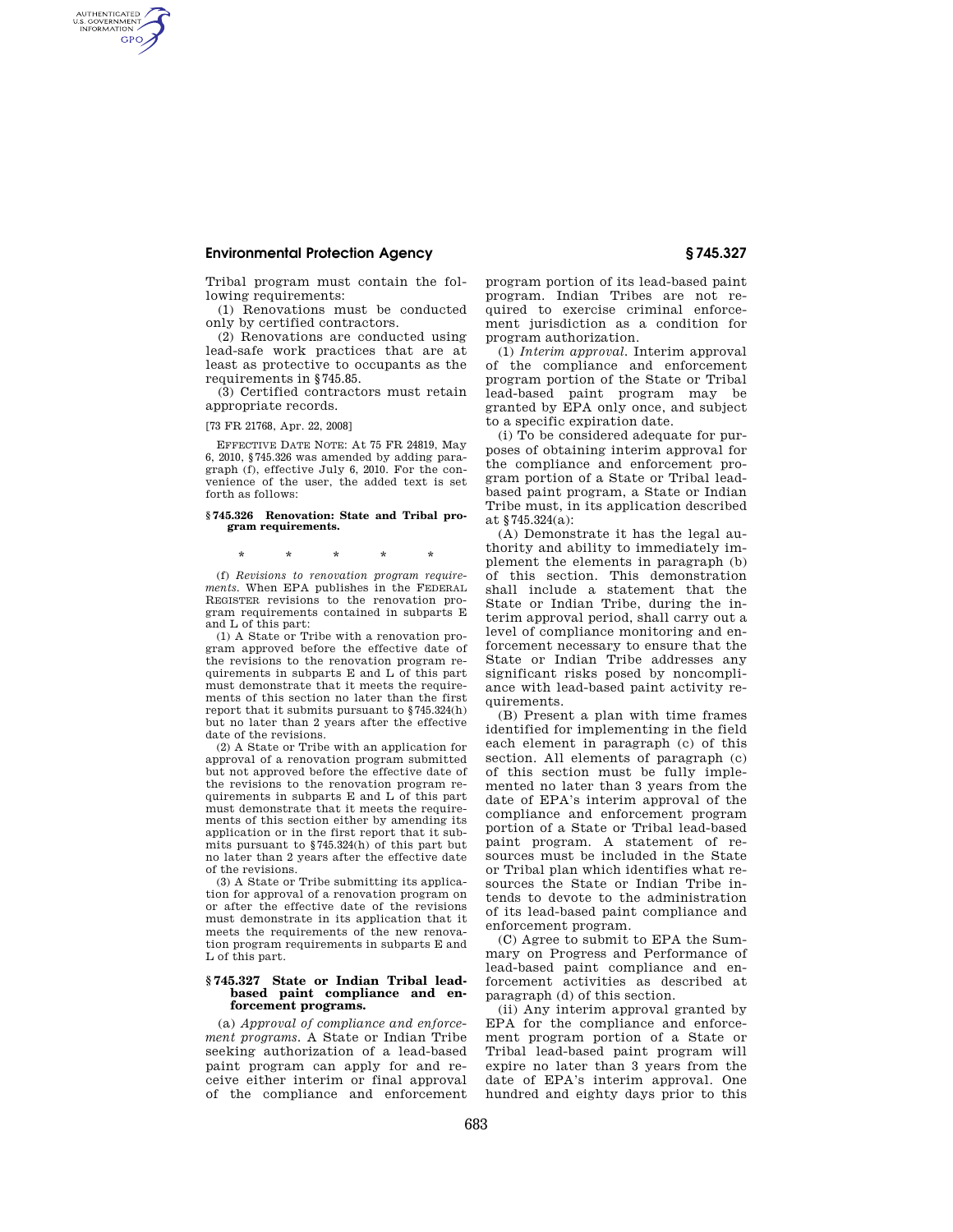# **Environmental Protection Agency § 745.327**

Tribal program must contain the following requirements:

(1) Renovations must be conducted only by certified contractors.

(2) Renovations are conducted using lead-safe work practices that are at least as protective to occupants as the requirements in §745.85.

(3) Certified contractors must retain appropriate records.

[73 FR 21768, Apr. 22, 2008]

AUTHENTICATED<br>U.S. GOVERNMENT<br>INFORMATION **GPO** 

> EFFECTIVE DATE NOTE: At 75 FR 24819, May 6, 2010, §745.326 was amended by adding paragraph (f), effective July 6, 2010. For the convenience of the user, the added text is set forth as follows:

#### **§ 745.326 Renovation: State and Tribal program requirements.**

\* \* \* \* \*

(f) *Revisions to renovation program requirements.* When EPA publishes in the FEDERAL REGISTER revisions to the renovation program requirements contained in subparts E and L of this part:

(1) A State or Tribe with a renovation program approved before the effective date of the revisions to the renovation program requirements in subparts E and L of this part must demonstrate that it meets the requirements of this section no later than the first report that it submits pursuant to §745.324(h) but no later than 2 years after the effective date of the revisions.

(2) A State or Tribe with an application for approval of a renovation program submitted but not approved before the effective date of the revisions to the renovation program requirements in subparts E and L of this part must demonstrate that it meets the requirements of this section either by amending its application or in the first report that it submits pursuant to §745.324(h) of this part but no later than 2 years after the effective date of the revisions.

(3) A State or Tribe submitting its application for approval of a renovation program on or after the effective date of the revisions must demonstrate in its application that it meets the requirements of the new renovation program requirements in subparts E and L of this part.

### **§ 745.327 State or Indian Tribal leadbased paint compliance and enforcement programs.**

(a) *Approval of compliance and enforcement programs.* A State or Indian Tribe seeking authorization of a lead-based paint program can apply for and receive either interim or final approval of the compliance and enforcement

program portion of its lead-based paint program. Indian Tribes are not required to exercise criminal enforcement jurisdiction as a condition for program authorization.

(1) *Interim approval.* Interim approval of the compliance and enforcement program portion of the State or Tribal lead-based paint program may be granted by EPA only once, and subject to a specific expiration date.

(i) To be considered adequate for purposes of obtaining interim approval for the compliance and enforcement program portion of a State or Tribal leadbased paint program, a State or Indian Tribe must, in its application described at §745.324(a):

(A) Demonstrate it has the legal authority and ability to immediately implement the elements in paragraph (b) of this section. This demonstration shall include a statement that the State or Indian Tribe, during the interim approval period, shall carry out a level of compliance monitoring and enforcement necessary to ensure that the State or Indian Tribe addresses any significant risks posed by noncompliance with lead-based paint activity requirements.

(B) Present a plan with time frames identified for implementing in the field each element in paragraph (c) of this section. All elements of paragraph (c) of this section must be fully implemented no later than 3 years from the date of EPA's interim approval of the compliance and enforcement program portion of a State or Tribal lead-based paint program. A statement of resources must be included in the State or Tribal plan which identifies what resources the State or Indian Tribe intends to devote to the administration of its lead-based paint compliance and enforcement program.

(C) Agree to submit to EPA the Summary on Progress and Performance of lead-based paint compliance and enforcement activities as described at paragraph (d) of this section.

(ii) Any interim approval granted by EPA for the compliance and enforcement program portion of a State or Tribal lead-based paint program will expire no later than 3 years from the date of EPA's interim approval. One hundred and eighty days prior to this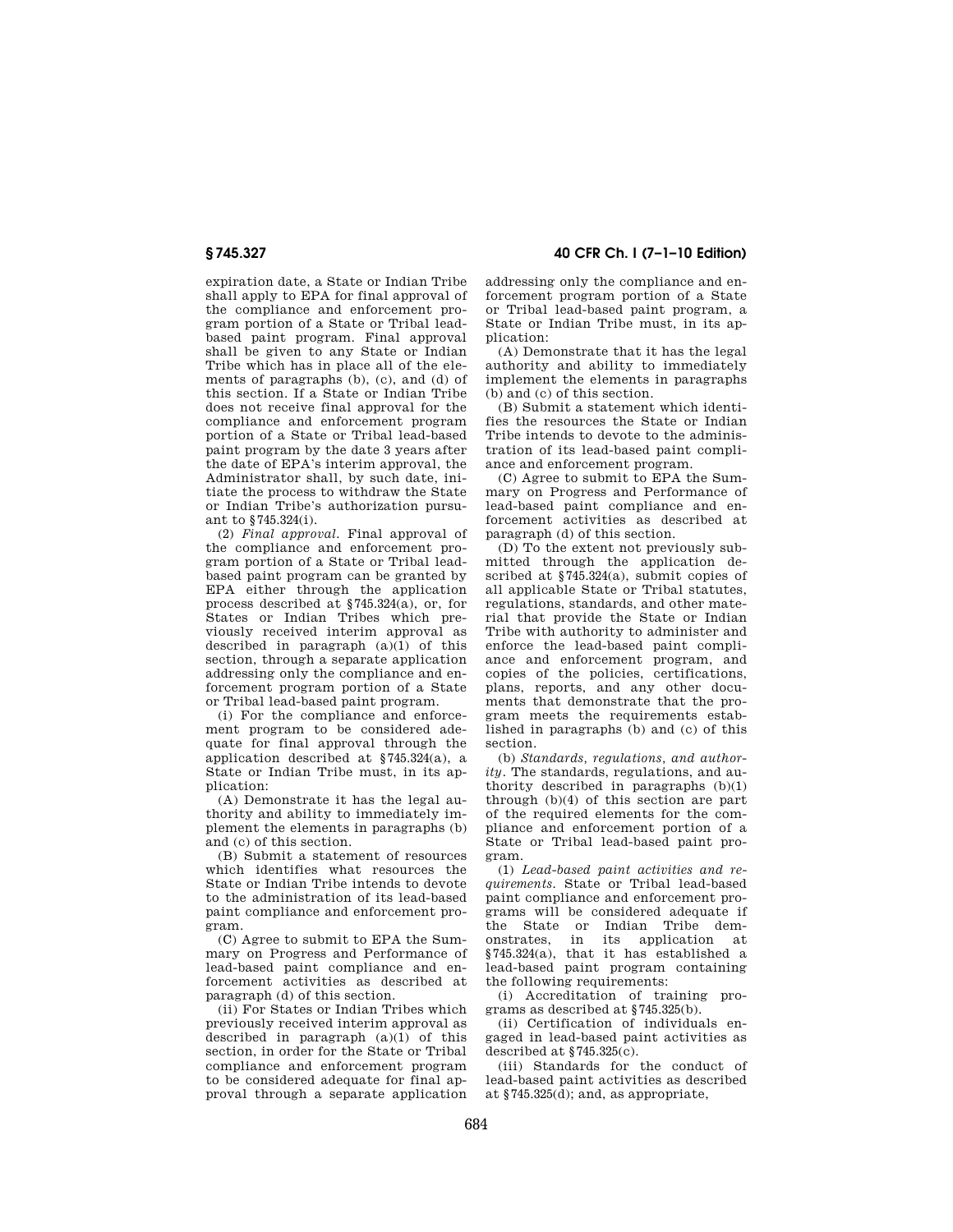# **§ 745.327 40 CFR Ch. I (7–1–10 Edition)**

expiration date, a State or Indian Tribe shall apply to EPA for final approval of the compliance and enforcement program portion of a State or Tribal leadbased paint program. Final approval shall be given to any State or Indian Tribe which has in place all of the elements of paragraphs (b), (c), and (d) of this section. If a State or Indian Tribe does not receive final approval for the compliance and enforcement program portion of a State or Tribal lead-based paint program by the date 3 years after the date of EPA's interim approval, the Administrator shall, by such date, initiate the process to withdraw the State or Indian Tribe's authorization pursuant to §745.324(i).

(2) *Final approval.* Final approval of the compliance and enforcement program portion of a State or Tribal leadbased paint program can be granted by EPA either through the application process described at §745.324(a), or, for States or Indian Tribes which previously received interim approval as described in paragraph (a)(1) of this section, through a separate application addressing only the compliance and enforcement program portion of a State or Tribal lead-based paint program.

(i) For the compliance and enforcement program to be considered adequate for final approval through the application described at §745.324(a), a State or Indian Tribe must, in its application:

(A) Demonstrate it has the legal authority and ability to immediately implement the elements in paragraphs (b) and (c) of this section.

(B) Submit a statement of resources which identifies what resources the State or Indian Tribe intends to devote to the administration of its lead-based paint compliance and enforcement program.

(C) Agree to submit to EPA the Summary on Progress and Performance of lead-based paint compliance and enforcement activities as described at paragraph (d) of this section.

(ii) For States or Indian Tribes which previously received interim approval as described in paragraph  $(a)(1)$  of this section, in order for the State or Tribal compliance and enforcement program to be considered adequate for final approval through a separate application

addressing only the compliance and enforcement program portion of a State or Tribal lead-based paint program, a State or Indian Tribe must, in its application:

(A) Demonstrate that it has the legal authority and ability to immediately implement the elements in paragraphs (b) and (c) of this section.

(B) Submit a statement which identifies the resources the State or Indian Tribe intends to devote to the administration of its lead-based paint compliance and enforcement program.

(C) Agree to submit to EPA the Summary on Progress and Performance of lead-based paint compliance and enforcement activities as described at paragraph (d) of this section.

(D) To the extent not previously submitted through the application described at §745.324(a), submit copies of all applicable State or Tribal statutes, regulations, standards, and other material that provide the State or Indian Tribe with authority to administer and enforce the lead-based paint compliance and enforcement program, and copies of the policies, certifications, plans, reports, and any other documents that demonstrate that the program meets the requirements established in paragraphs (b) and (c) of this section.

(b) *Standards, regulations, and authority.* The standards, regulations, and authority described in paragraphs (b)(1) through (b)(4) of this section are part of the required elements for the compliance and enforcement portion of a State or Tribal lead-based paint program.

(1) *Lead-based paint activities and requirements.* State or Tribal lead-based paint compliance and enforcement programs will be considered adequate if the State or Indian Tribe demonstrates, in its application at §745.324(a), that it has established a lead-based paint program containing the following requirements:

(i) Accreditation of training programs as described at §745.325(b).

(ii) Certification of individuals engaged in lead-based paint activities as described at  $$745.325(c)$ .

(iii) Standards for the conduct of lead-based paint activities as described at §745.325(d); and, as appropriate,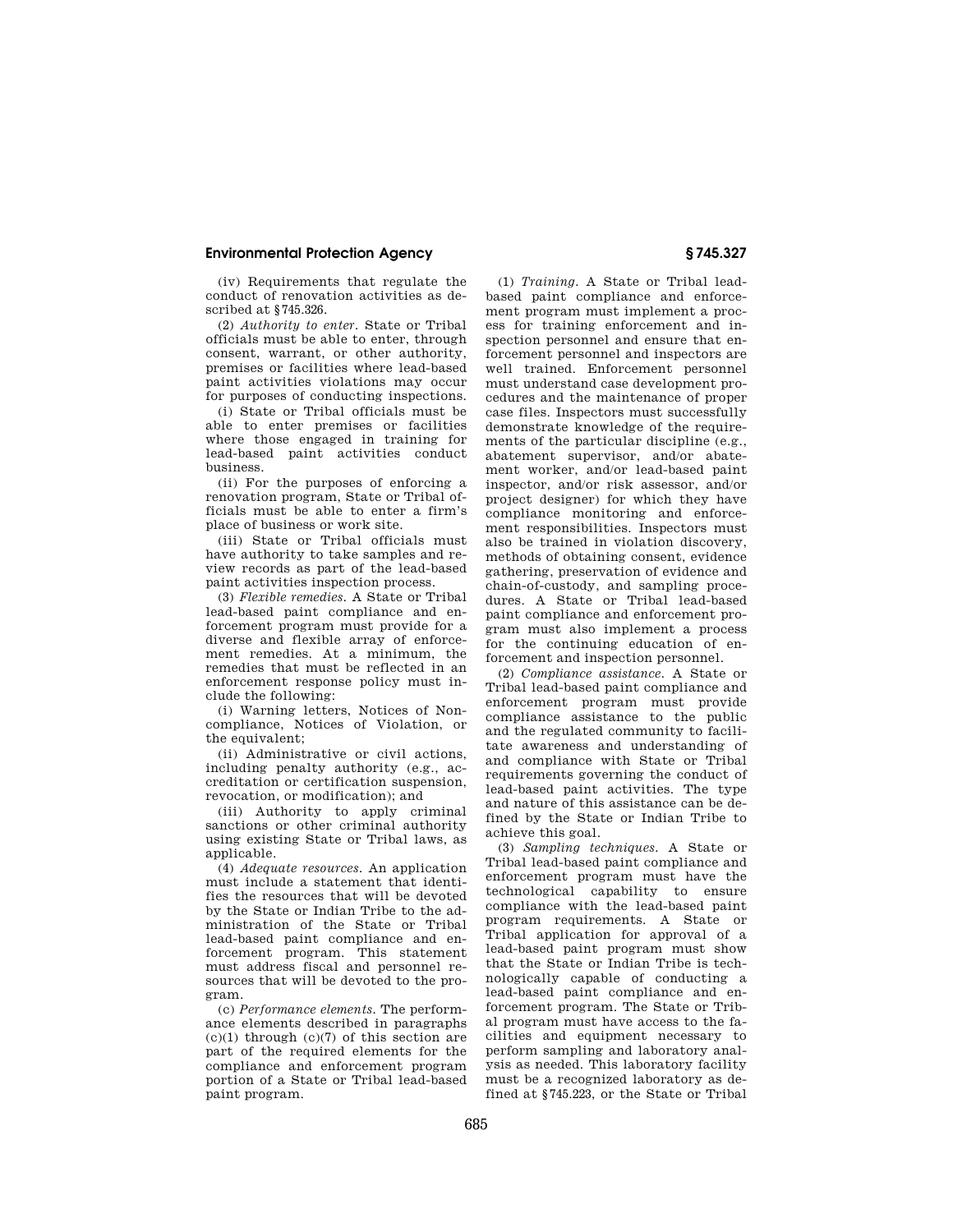# **Environmental Protection Agency § 745.327**

(iv) Requirements that regulate the conduct of renovation activities as described at §745.326.

(2) *Authority to enter.* State or Tribal officials must be able to enter, through consent, warrant, or other authority, premises or facilities where lead-based paint activities violations may occur for purposes of conducting inspections.

(i) State or Tribal officials must be able to enter premises or facilities where those engaged in training for lead-based paint activities conduct business.

(ii) For the purposes of enforcing a renovation program, State or Tribal officials must be able to enter a firm's place of business or work site.

(iii) State or Tribal officials must have authority to take samples and review records as part of the lead-based paint activities inspection process.

(3) *Flexible remedies.* A State or Tribal lead-based paint compliance and enforcement program must provide for a diverse and flexible array of enforcement remedies. At a minimum, the remedies that must be reflected in an enforcement response policy must include the following:

(i) Warning letters, Notices of Noncompliance, Notices of Violation, or the equivalent;

(ii) Administrative or civil actions, including penalty authority (e.g., accreditation or certification suspension, revocation, or modification); and

(iii) Authority to apply criminal sanctions or other criminal authority using existing State or Tribal laws, as applicable.

(4) *Adequate resources.* An application must include a statement that identifies the resources that will be devoted by the State or Indian Tribe to the administration of the State or Tribal lead-based paint compliance and enforcement program. This statement must address fiscal and personnel resources that will be devoted to the program.

(c) *Performance elements.* The performance elements described in paragraphs  $(c)(1)$  through  $(c)(7)$  of this section are part of the required elements for the compliance and enforcement program portion of a State or Tribal lead-based paint program.

(1) *Training.* A State or Tribal leadbased paint compliance and enforcement program must implement a process for training enforcement and inspection personnel and ensure that enforcement personnel and inspectors are well trained. Enforcement personnel must understand case development procedures and the maintenance of proper case files. Inspectors must successfully demonstrate knowledge of the requirements of the particular discipline (e.g., abatement supervisor, and/or abatement worker, and/or lead-based paint inspector, and/or risk assessor, and/or project designer) for which they have compliance monitoring and enforcement responsibilities. Inspectors must also be trained in violation discovery, methods of obtaining consent, evidence gathering, preservation of evidence and chain-of-custody, and sampling procedures. A State or Tribal lead-based paint compliance and enforcement program must also implement a process for the continuing education of enforcement and inspection personnel.

(2) *Compliance assistance.* A State or Tribal lead-based paint compliance and enforcement program must provide compliance assistance to the public and the regulated community to facilitate awareness and understanding of and compliance with State or Tribal requirements governing the conduct of lead-based paint activities. The type and nature of this assistance can be defined by the State or Indian Tribe to achieve this goal.

(3) *Sampling techniques.* A State or Tribal lead-based paint compliance and enforcement program must have the technological capability to ensure compliance with the lead-based paint program requirements. A State or Tribal application for approval of a lead-based paint program must show that the State or Indian Tribe is technologically capable of conducting a lead-based paint compliance and enforcement program. The State or Tribal program must have access to the facilities and equipment necessary to perform sampling and laboratory analysis as needed. This laboratory facility must be a recognized laboratory as defined at §745.223, or the State or Tribal